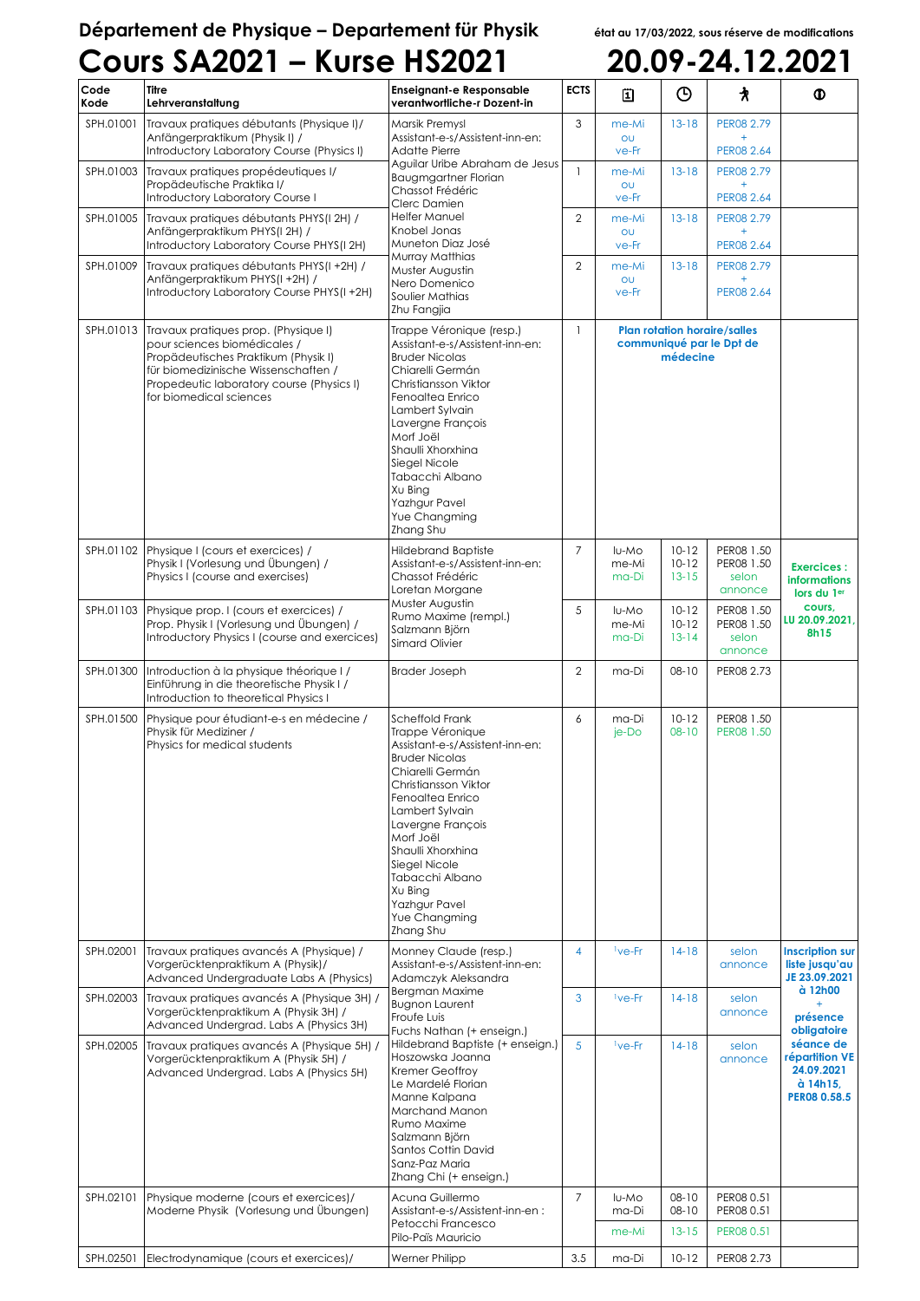## **Département de Physique – Departement für Physik état au 17/03/2022, sous réserve de modifications**

|              | <b>Cours SA2021 - Kurse HS2021</b>                                                                                                                                                                                                     |                                                                                                                                                                                                                                                                                                                                                |                |                                                                             |                                     |                                              | 20.09-24.12.2021                                                                                                          |
|--------------|----------------------------------------------------------------------------------------------------------------------------------------------------------------------------------------------------------------------------------------|------------------------------------------------------------------------------------------------------------------------------------------------------------------------------------------------------------------------------------------------------------------------------------------------------------------------------------------------|----------------|-----------------------------------------------------------------------------|-------------------------------------|----------------------------------------------|---------------------------------------------------------------------------------------------------------------------------|
| Code<br>Kode | <b>Titre</b><br>Lehrveranstaltung                                                                                                                                                                                                      | <b>Enseignant-e Responsable</b><br>verantwortliche-r Dozent-in                                                                                                                                                                                                                                                                                 | <b>ECTS</b>    | 圓                                                                           | $\odot$                             | 水                                            | ◍                                                                                                                         |
| SPH.01001    | Travaux pratiques débutants (Physique I)/<br>Anfängerpraktikum (Physik I) /<br>Introductory Laboratory Course (Physics I)                                                                                                              | Marsik Premysl<br>Assistant-e-s/Assistent-inn-en:<br><b>Adatte Pierre</b>                                                                                                                                                                                                                                                                      | 3              | me-Mi<br>OU<br>ve-Fr                                                        | $13 - 18$                           | PER08 2.79<br>PER08 2.64                     |                                                                                                                           |
| SPH.01003    | Travaux pratiques propédeutiques I/<br>Propädeutische Praktika I/<br>Introductory Laboratory Course I                                                                                                                                  | Aguilar Uribe Abraham de Jesus<br><b>Baugmgartner Florian</b><br>Chassot Frédéric<br>Clerc Damien                                                                                                                                                                                                                                              | $\mathbf{1}$   | me-Mi<br>OU<br>ve-Fr                                                        | $13 - 18$                           | PER08 2.79<br>$\ddot{}$<br>PER08 2.64        |                                                                                                                           |
| SPH.01005    | Travaux pratiques débutants PHYS(I 2H) /<br>Anfängerpraktikum PHYS(I 2H) /<br>Introductory Laboratory Course PHYS(I 2H)                                                                                                                | Helfer Manuel<br>Knobel Jonas<br>Muneton Diaz José                                                                                                                                                                                                                                                                                             | $\mathbf{2}$   | me-Mi<br>OU<br>ve-Fr                                                        | $13-18$                             | PER08 2.79<br>$+$<br>PER08 2.64              |                                                                                                                           |
| SPH.01009    | Travaux pratiques débutants PHYS(I+2H) /<br>Anfängerpraktikum PHYS(I+2H) /<br>Introductory Laboratory Course PHYS(I+2H)                                                                                                                | Murray Matthias<br>Muster Augustin<br>Nero Domenico<br>Soulier Mathias<br>Zhu Fangjia                                                                                                                                                                                                                                                          | 2              | me-Mi<br>OU<br>ve-Fr                                                        | $13-18$                             | PER08 2.79<br>$+$<br>PER08 2.64              |                                                                                                                           |
|              | SPH.01013 Travaux pratiques prop. (Physique I)<br>pour sciences biomédicales /<br>Propädeutisches Praktikum (Physik I)<br>für biomedizinische Wissenschaften /<br>Propedeutic laboratory course (Physics I)<br>for biomedical sciences | Trappe Véronique (resp.)<br>Assistant-e-s/Assistent-inn-en:<br><b>Bruder Nicolas</b><br>Chiarelli Germán<br>Christiansson Viktor<br>Fenoaltea Enrico<br>Lambert Sylvain<br>Lavergne François<br>Morf Joël<br>Shaulli Xhorxhina<br>Siegel Nicole<br>Tabacchi Albano<br>Xu Bing<br>Yazhgur Pavel<br>Yue Changming<br>Zhang Shu                   | $\mathbf{1}$   | <b>Plan rotation horaire/salles</b><br>communiqué par le Dpt de<br>médecine |                                     |                                              |                                                                                                                           |
| SPH.01102    | Physique I (cours et exercices) /<br>Physik I (Vorlesung und Übungen) /<br>Physics I (course and exercises)                                                                                                                            | Hildebrand Baptiste<br>Assistant-e-s/Assistent-inn-en:<br>Chassot Frédéric<br>Loretan Morgane                                                                                                                                                                                                                                                  | 7              | lu-Mo<br>me-Mi<br>ma-Di                                                     | $10 - 12$<br>$10 - 12$<br>$13 - 15$ | PER08 1.50<br>PER08 1.50<br>selon<br>annonce | <b>Exercices:</b><br><b>informations</b><br>lors du 1er                                                                   |
| SPH.01103    | Physique prop. I (cours et exercices) /<br>Prop. Physik I (Vorlesung und Übungen) /<br>Introductory Physics I (course and exercices)                                                                                                   | Muster Augustin<br>Rumo Maxime (rempl.)<br>Salzmann Björn<br>Simard Olivier                                                                                                                                                                                                                                                                    | 5              | lu-Mo<br>me-Mi<br>ma-Di                                                     | $10 - 12$<br>$10 - 12$<br>$13 - 14$ | PER08 1.50<br>PER08 1.50<br>selon<br>annonce | cours,<br>LU 20.09.2021,<br>8h15                                                                                          |
| SPH.01300    | Introduction à la physique théorique I/<br>Einführung in die theoretische Physik I /<br>Introduction to theoretical Physics I                                                                                                          | <b>Brader Joseph</b>                                                                                                                                                                                                                                                                                                                           | $\overline{2}$ | ma-Di                                                                       | $08 - 10$                           | PER08 2.73                                   |                                                                                                                           |
| SPH.01500    | Physique pour étudiant-e-s en médecine /<br>Physik für Mediziner /<br>Physics for medical students                                                                                                                                     | Scheffold Frank<br>Trappe Véronique<br>Assistant-e-s/Assistent-inn-en:<br><b>Bruder Nicolas</b><br>Chiarelli Germán<br>Christiansson Viktor<br>Fenoaltea Enrico<br>Lambert Sylvain<br>Lavergne François<br>Morf Joël<br>Shaulli Xhorxhina<br>Siegel Nicole<br>Tabacchi Albano<br>Xu Bing<br><b>Yazhgur Pavel</b><br>Yue Changming<br>Zhang Shu | 6              | ma-Di<br>je-Do                                                              | $10 - 12$<br>$08 - 10$              | PER08 1.50<br>PER08 1.50                     |                                                                                                                           |
| SPH.02001    | Travaux pratiques avancés A (Physique) /<br>Vorgerücktenpraktikum A (Physik)/<br>Advanced Undergraduate Labs A (Physics)                                                                                                               | Monney Claude (resp.)<br>Assistant-e-s/Assistent-inn-en:<br>Adamczyk Aleksandra                                                                                                                                                                                                                                                                | 4              | <sup>1</sup> ve-Fr                                                          | $14-18$                             | selon<br>annonce                             | <b>Inscription sur</b><br>liste jusqu'au<br>JE 23.09.2021                                                                 |
| SPH.02003    | Travaux pratiques avancés A (Physique 3H) /<br>Vorgerücktenpraktikum A (Physik 3H) /<br>Advanced Undergrad. Labs A (Physics 3H)                                                                                                        | Bergman Maxime<br><b>Bugnon Laurent</b><br>Froufe Luis                                                                                                                                                                                                                                                                                         | 3              | <sup>1</sup> ve-Fr                                                          | $14-18$                             | selon<br>annonce                             | à 12h00<br>$+$<br>présence<br>obligatoire<br>séance de<br>répartition VE<br>24.09.2021<br>à 14h15,<br><b>PER08 0.58.5</b> |
|              | SPH.02005 Travaux pratiques avancés A (Physique 5H) /<br>Vorgerücktenpraktikum A (Physik 5H) /<br>Advanced Undergrad. Labs A (Physics 5H)                                                                                              | Fuchs Nathan (+ enseign.)<br>Hildebrand Baptiste (+ enseign.)<br>Hoszowska Joanna<br>Kremer Geoffroy<br>Le Mardelé Florian<br>Manne Kalpana<br>Marchand Manon<br>Rumo Maxime<br>Salzmann Björn<br>Santos Cottin David<br>Sanz-Paz Maria<br>Zhang Chi (+ enseign.)                                                                              | 5              | <sup>1</sup> ve-Fr                                                          | $14-18$                             | selon<br>annonce                             |                                                                                                                           |
| SPH.02101    | Physique moderne (cours et exercices)/<br>Moderne Physik (Vorlesung und Übungen)                                                                                                                                                       | Acuna Guillermo<br>Assistant-e-s/Assistent-inn-en:<br>Petocchi Francesco                                                                                                                                                                                                                                                                       | $\overline{7}$ | lu-Mo<br>ma-Di<br>me-Mi                                                     | $08 - 10$<br>$08 - 10$<br>$13 - 15$ | PER08 0.51<br>PER08 0.51<br>PER08 0.51       |                                                                                                                           |
|              |                                                                                                                                                                                                                                        | Pilo-Païs Mauricio                                                                                                                                                                                                                                                                                                                             |                |                                                                             |                                     |                                              |                                                                                                                           |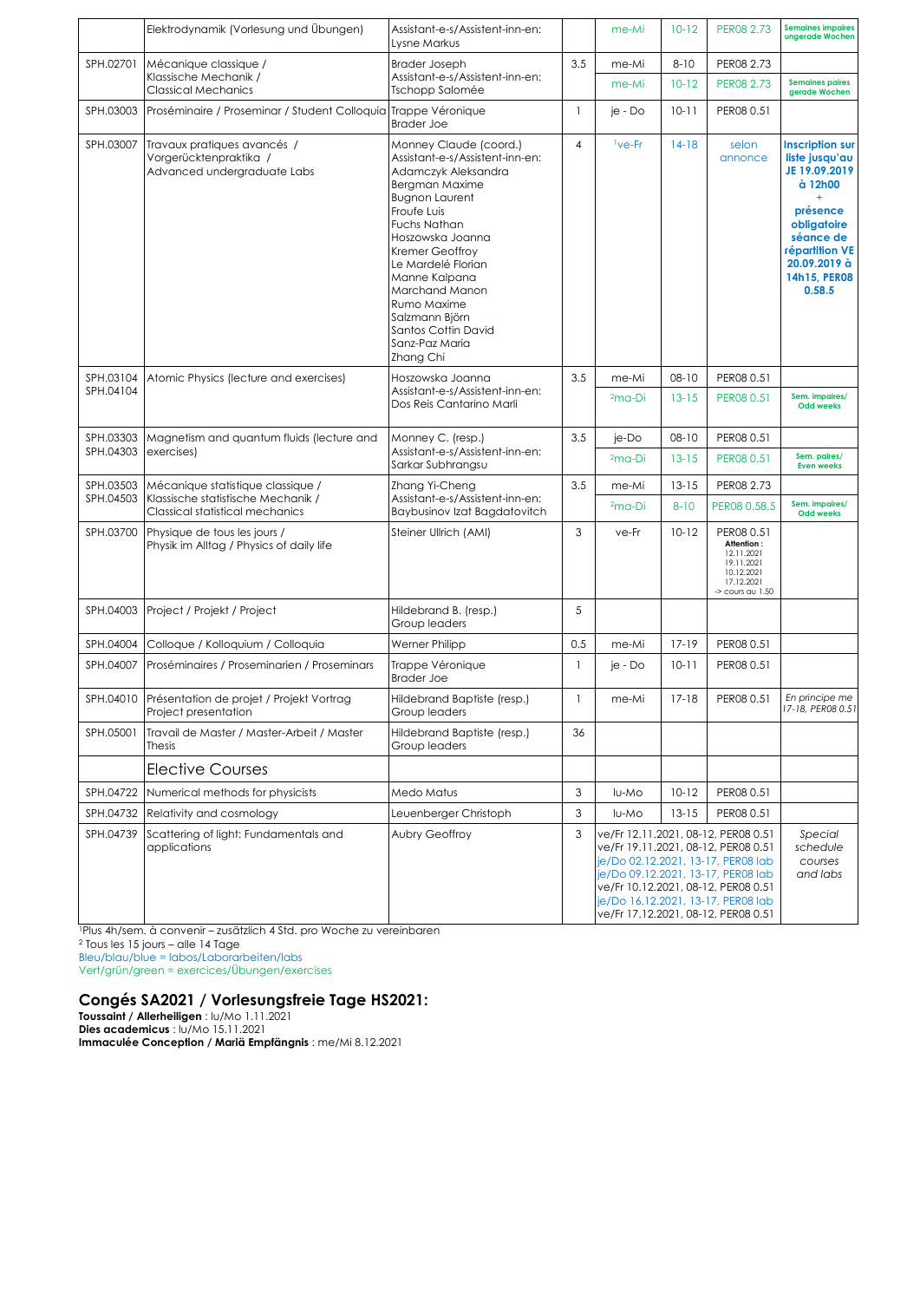|           | Elektrodynamik (Vorlesung und Übungen)                                               | Assistant-e-s/Assistent-inn-en:<br>Lysne Markus                                                                                                                                                                                                                                                                                                                 |              | me-Mi                                                                                                                                                                                                                                                                      | $10 - 12$                                  | PER08 2.73                                                                                               | <b>Semaines impaires</b><br>ungerade Wochen                                                                                                                              |
|-----------|--------------------------------------------------------------------------------------|-----------------------------------------------------------------------------------------------------------------------------------------------------------------------------------------------------------------------------------------------------------------------------------------------------------------------------------------------------------------|--------------|----------------------------------------------------------------------------------------------------------------------------------------------------------------------------------------------------------------------------------------------------------------------------|--------------------------------------------|----------------------------------------------------------------------------------------------------------|--------------------------------------------------------------------------------------------------------------------------------------------------------------------------|
| SPH.02701 | Mécanique classique /                                                                | <b>Brader Joseph</b>                                                                                                                                                                                                                                                                                                                                            | 3.5          | me-Mi                                                                                                                                                                                                                                                                      | $8 - 10$                                   | PER08 2.73                                                                                               |                                                                                                                                                                          |
|           | Klassische Mechanik /<br><b>Classical Mechanics</b>                                  | Assistant-e-s/Assistent-inn-en:<br>Tschopp Salomée                                                                                                                                                                                                                                                                                                              |              | me-Mi                                                                                                                                                                                                                                                                      | $10 - 12$                                  | PER08 2.73                                                                                               | <b>Semaines paires</b><br>gerade Wochen                                                                                                                                  |
| SPH.03003 | Proséminaire / Proseminar / Student Colloquia Trappe Véronique                       | <b>Brader Joe</b>                                                                                                                                                                                                                                                                                                                                               | $\mathbf{1}$ | je - Do                                                                                                                                                                                                                                                                    | $10 - 11$                                  | PER08 0.51                                                                                               |                                                                                                                                                                          |
| SPH.03007 | Travaux pratiques avancés /<br>Vorgerücktenpraktika /<br>Advanced undergraduate Labs | Monney Claude (coord.)<br>Assistant-e-s/Assistent-inn-en:<br>Adamczyk Aleksandra<br><b>Bergman Maxime</b><br><b>Bugnon Laurent</b><br>Froufe Luis<br><b>Fuchs Nathan</b><br>Hoszowska Joanna<br>Kremer Geoffroy<br>Le Mardelé Florian<br>Manne Kalpana<br>Marchand Manon<br>Rumo Maxime<br>Salzmann Björn<br>Santos Cottin David<br>Sanz-Paz Maria<br>Zhang Chi | 4            | <sup>1</sup> ve-Fr                                                                                                                                                                                                                                                         | $14-18$                                    | selon<br>annonce                                                                                         | <b>Inscription sur</b><br>liste jusqu'au<br>JE 19.09.2019<br>à 12h00<br>présence<br>obligatoire<br>séance de<br>répartition VE<br>20.09.2019 à<br>14h15, PER08<br>0.58.5 |
| SPH.03104 | Atomic Physics (lecture and exercises)                                               | Hoszowska Joanna<br>Assistant-e-s/Assistent-inn-en:<br>Dos Reis Cantarino Marli                                                                                                                                                                                                                                                                                 | 3.5          | me-Mi                                                                                                                                                                                                                                                                      | $08 - 10$                                  | PER08 0.51                                                                                               |                                                                                                                                                                          |
| SPH.04104 |                                                                                      |                                                                                                                                                                                                                                                                                                                                                                 |              | $2ma-Di$                                                                                                                                                                                                                                                                   | $13 - 15$                                  | PER08 0.51                                                                                               | Sem. impaires/<br><b>Odd weeks</b>                                                                                                                                       |
| SPH.03303 | Magnetism and quantum fluids (lecture and                                            | Monney C. (resp.)                                                                                                                                                                                                                                                                                                                                               | 3.5          | je-Do                                                                                                                                                                                                                                                                      | $08 - 10$                                  | PER08 0.51                                                                                               |                                                                                                                                                                          |
| SPH.04303 | exercises)                                                                           | Assistant-e-s/Assistent-inn-en:<br>Sarkar Subhrangsu                                                                                                                                                                                                                                                                                                            |              | $2ma-Di$                                                                                                                                                                                                                                                                   | $13 - 15$                                  | PER08 0.51                                                                                               | Sem. paires/<br><b>Even weeks</b>                                                                                                                                        |
| SPH.03503 | Mécanique statistique classique /                                                    | Zhang Yi-Cheng                                                                                                                                                                                                                                                                                                                                                  | 3.5          | me-Mi                                                                                                                                                                                                                                                                      | $13 - 15$                                  | PER08 2.73                                                                                               |                                                                                                                                                                          |
| SPH.04503 | Klassische statistische Mechanik /<br>Classical statistical mechanics                | Assistant-e-s/Assistent-inn-en:<br>Baybusinov Izat Bagdatovitch                                                                                                                                                                                                                                                                                                 |              | $2ma-Di$                                                                                                                                                                                                                                                                   | $8 - 10$                                   | PER08 0.58.5                                                                                             | Sem. impaires/<br><b>Odd weeks</b>                                                                                                                                       |
| SPH.03700 | Physique de tous les jours /<br>Physik im Alltag / Physics of daily life             | Steiner Ullrich (AMI)                                                                                                                                                                                                                                                                                                                                           | 3            | ve-Fr                                                                                                                                                                                                                                                                      | $10 - 12$                                  | PER08 0.51<br>Attention:<br>12.11.2021<br>19.11.2021<br>10.12.2021<br>17.12.2021<br>$\sim$ cours au 1.50 |                                                                                                                                                                          |
| SPH.04003 | Project / Projekt / Project                                                          | Hildebrand B. (resp.)<br>Group leaders                                                                                                                                                                                                                                                                                                                          | 5            |                                                                                                                                                                                                                                                                            |                                            |                                                                                                          |                                                                                                                                                                          |
| SPH.04004 | Colloque / Kolloquium / Colloquia                                                    | Werner Philipp                                                                                                                                                                                                                                                                                                                                                  | 0.5          | me-Mi                                                                                                                                                                                                                                                                      | $17 - 19$                                  | PER08 0.51                                                                                               |                                                                                                                                                                          |
| SPH.04007 | Proséminaires / Proseminarien / Proseminars                                          | Trappe Véronique<br><b>Brader Joe</b>                                                                                                                                                                                                                                                                                                                           | $\mathbf{1}$ | je - Do                                                                                                                                                                                                                                                                    | $10 - 11$                                  | PER08 0.51                                                                                               |                                                                                                                                                                          |
| SPH.04010 | Présentation de projet / Projekt Vortrag<br>Project presentation                     | Hildebrand Baptiste (resp.)<br>Group leaders                                                                                                                                                                                                                                                                                                                    | $\mathbf{1}$ | me-Mi                                                                                                                                                                                                                                                                      | $17-18$                                    | PER08 0.51                                                                                               | En principe me<br>17-18, PER08 0.51                                                                                                                                      |
| SPH.05001 | Travail de Master / Master-Arbeit / Master<br>Thesis                                 | Hildebrand Baptiste (resp.)<br>Group leaders                                                                                                                                                                                                                                                                                                                    | 36           |                                                                                                                                                                                                                                                                            |                                            |                                                                                                          |                                                                                                                                                                          |
|           | <b>Elective Courses</b>                                                              |                                                                                                                                                                                                                                                                                                                                                                 |              |                                                                                                                                                                                                                                                                            |                                            |                                                                                                          |                                                                                                                                                                          |
| SPH.04722 | Numerical methods for physicists                                                     | Medo Matus                                                                                                                                                                                                                                                                                                                                                      | 3            | lu-Mo                                                                                                                                                                                                                                                                      | $10 - 12$                                  | PER08 0.51                                                                                               |                                                                                                                                                                          |
|           | SPH.04732 Relativity and cosmology                                                   | Leuenberger Christoph                                                                                                                                                                                                                                                                                                                                           | 3            | lu-Mo                                                                                                                                                                                                                                                                      | $13 - 15$                                  | PER08 0.51                                                                                               |                                                                                                                                                                          |
| SPH.04739 | Scattering of light: Fundamentals and<br>applications                                | Aubry Geoffroy                                                                                                                                                                                                                                                                                                                                                  | 3            | ve/Fr 12.11.2021, 08-12, PER08 0.51<br>ve/Fr 19.11.2021, 08-12, PER08 0.51<br>je/Do 02.12.2021, 13-17, PER08 lab<br>je/Do 09.12.2021, 13-17, PER08 lab<br>ve/Fr 10.12.2021, 08-12, PER08 0.51<br>je/Do 16.12.2021, 13-17, PER08 lab<br>ve/Fr 17.12.2021, 08-12, PER08 0.51 | Special<br>schedule<br>courses<br>and labs |                                                                                                          |                                                                                                                                                                          |

<sup>1</sup>Plus 4h/sem. à convenir – zusätzlich 4 Std. pro Woche zu vereinbaren

<sup>2</sup> Tous les 15 jours – alle 14 Tage

Bleu/blau/blue = labos/Laborarbeiten/labs

Vert/grün/green = exercices/Übungen/exercises

## **Congés SA2021 / Vorlesungsfreie Tage HS2021:**

**Toussaint / Allerheiligen** : lu/Mo 1.11.2021 **Dies academicus** : lu/Mo 15.11.2021 **Immaculée Conception / Mariä Empfängnis** : me/Mi 8.12.2021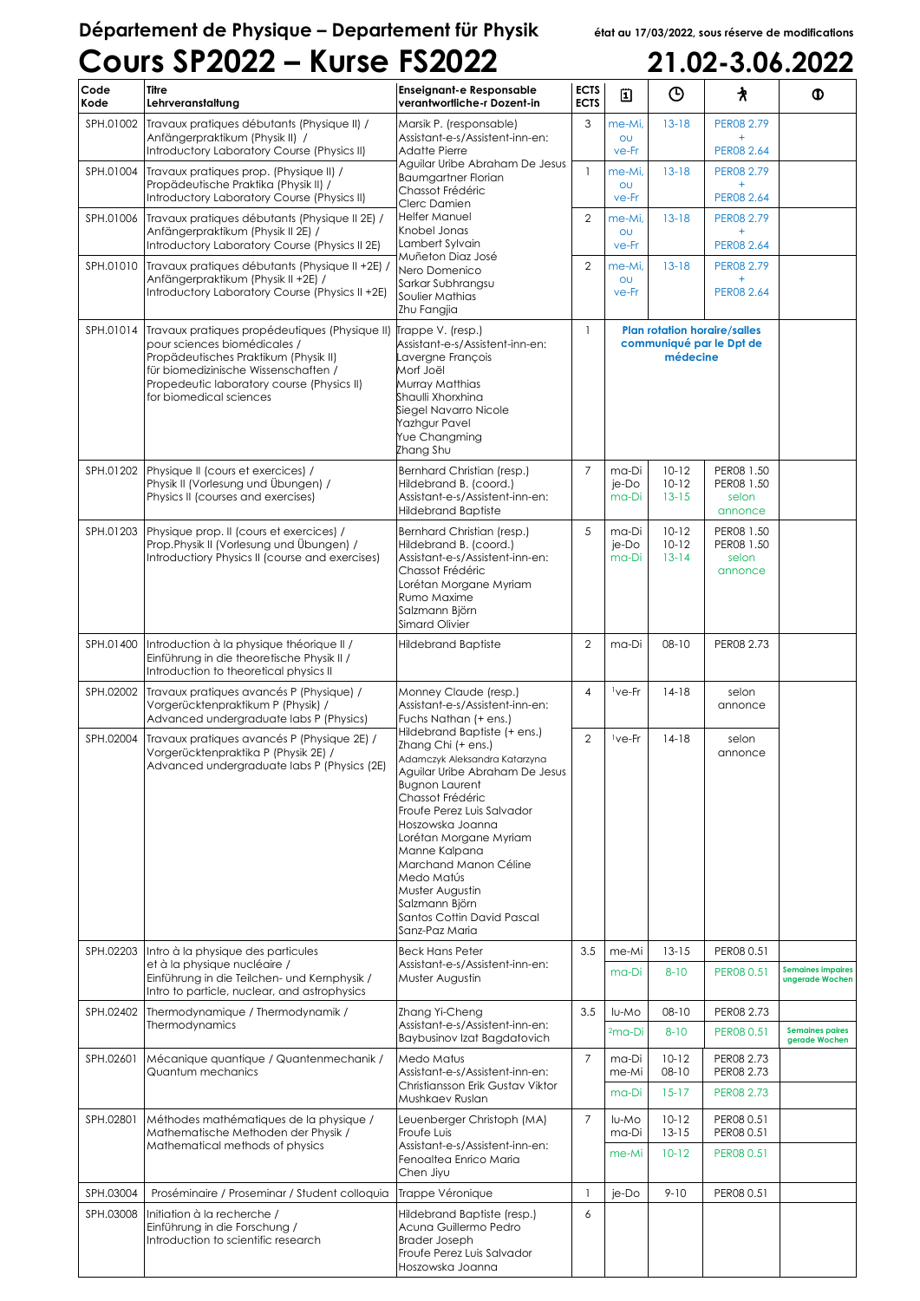## **Département de Physique – Departement für Physik état au 17/03/2022, sous réserve de modifications Cours SP2022 – Kurse FS2022 21.02-3.06.2022**

| Code<br>Kode | <b>Titre</b><br>Lehrveranstaltung                                                                                                                                                                                                                          | <b>Enseignant-e Responsable</b><br>verantwortliche-r Dozent-in                                                                                                                                                                                                                                                                                                                              | <b>ECTS</b><br><b>ECTS</b> | 圓                                                                           | $\odot$                           | 水                                            | ⊕                                           |
|--------------|------------------------------------------------------------------------------------------------------------------------------------------------------------------------------------------------------------------------------------------------------------|---------------------------------------------------------------------------------------------------------------------------------------------------------------------------------------------------------------------------------------------------------------------------------------------------------------------------------------------------------------------------------------------|----------------------------|-----------------------------------------------------------------------------|-----------------------------------|----------------------------------------------|---------------------------------------------|
| SPH.01002    | Travaux pratiques débutants (Physique II) /<br>Anfängerpraktikum (Physik II) /<br>Introductory Laboratory Course (Physics II)                                                                                                                              | Marsik P. (responsable)<br>Assistant-e-s/Assistent-inn-en:<br>Adatte Pierre                                                                                                                                                                                                                                                                                                                 | 3                          | me-Mi,<br>OU<br>ve-Fr                                                       | $13 - 18$                         | PER08 2.79<br>PER08 2.64                     |                                             |
| SPH.01004    | Travaux pratiques prop. (Physique II) /<br>Propädeutische Praktika (Physik II) /<br>Introductory Laboratory Course (Physics II)                                                                                                                            | Aguilar Uribe Abraham De Jesus<br><b>Baumgartner Florian</b><br>Chassot Frédéric<br>Clerc Damien                                                                                                                                                                                                                                                                                            | $\mathbf{1}$               | me-Mi,<br>OU<br>ve-Fr                                                       | $13 - 18$                         | PER08 2.79<br>PER08 2.64                     |                                             |
| SPH.01006    | Travaux pratiques débutants (Physique II 2E) /<br>Anfängerpraktikum (Physik II 2E) /<br>Introductory Laboratory Course (Physics II 2E)                                                                                                                     | Helfer Manuel<br>Knobel Jonas<br>Lambert Sylvain                                                                                                                                                                                                                                                                                                                                            | $\overline{2}$             | me-Mi,<br>OU<br>ve-Fr                                                       | $13 - 18$                         | PER08 2.79<br>PER08 2.64                     |                                             |
| SPH.01010    | Travaux pratiques débutants (Physique II +2E)<br>Anfängerpraktikum (Physik II +2E) /<br>Introductory Laboratory Course (Physics II +2E)                                                                                                                    | Muñeton Diaz José<br>Nero Domenico<br>Sarkar Subhrangsu<br>Soulier Mathias<br>Zhu Fangjia                                                                                                                                                                                                                                                                                                   | $\overline{2}$             | me-Mi,<br>OU<br>ve-Fr                                                       | $13 - 18$                         | PER08 2.79<br>$+$<br>PER08 2.64              |                                             |
| SPH.01014    | Travaux pratiques propédeutiques (Physique II) Trappe V. (resp.)<br>pour sciences biomédicales /<br>Propädeutisches Praktikum (Physik II)<br>für biomedizinische Wissenschaften /<br>Propedeutic laboratory course (Physics II)<br>for biomedical sciences | Assistant-e-s/Assistent-inn-en:<br>Lavergne François<br>Morf Joël<br>Murray Matthias<br>Shaulli Xhorxhina<br>Siegel Navarro Nicole<br>Yazhgur Pavel<br>Yue Changming<br>Zhang Shu                                                                                                                                                                                                           | $\mathbf{1}$               | <b>Plan rotation horaire/salles</b><br>communiqué par le Dpt de<br>médecine |                                   |                                              |                                             |
| SPH.01202    | Physique II (cours et exercices) /<br>Physik II (Vorlesung und Übungen) /<br>Physics II (courses and exercises)                                                                                                                                            | Bernhard Christian (resp.)<br>Hildebrand B. (coord.)<br>Assistant-e-s/Assistent-inn-en:<br><b>Hildebrand Baptiste</b>                                                                                                                                                                                                                                                                       | $\overline{7}$             | ma-Di<br>je-Do<br>ma-Di                                                     | $10 - 12$<br>$10-12$<br>$13 - 15$ | PER08 1.50<br>PER08 1.50<br>selon<br>annonce |                                             |
| SPH.01203    | Physique prop. Il (cours et exercices) /<br>Prop.Physik II (Vorlesung und Übungen) /<br>Introductiory Physics II (course and exercises)                                                                                                                    | Bernhard Christian (resp.)<br>Hildebrand B. (coord.)<br>Assistant-e-s/Assistent-inn-en:<br>Chassot Frédéric<br>Lorétan Morgane Myriam<br>Rumo Maxime<br>Salzmann Björn<br>Simard Olivier                                                                                                                                                                                                    | 5                          | ma-Di<br>je-Do<br>ma-Di                                                     | $10-12$<br>$10-12$<br>$13 - 14$   | PER08 1.50<br>PER08 1.50<br>selon<br>annonce |                                             |
| SPH.01400    | Introduction à la physique théorique II /<br>Einführung in die theoretische Physik II /<br>Introduction to theoretical physics II                                                                                                                          | <b>Hildebrand Baptiste</b>                                                                                                                                                                                                                                                                                                                                                                  | $\overline{2}$             | ma-Di                                                                       | $08 - 10$                         | PER08 2.73                                   |                                             |
| SPH.02002    | Travaux pratiques avancés P (Physique) /<br>Vorgerücktenpraktikum P (Physik) /<br>Advanced undergraduate labs P (Physics)                                                                                                                                  | Monney Claude (resp.)<br>Assistant-e-s/Assistent-inn-en:<br>Fuchs Nathan (+ ens.)                                                                                                                                                                                                                                                                                                           | $\overline{4}$             | <sup>1</sup> ve-Fr                                                          | $14-18$                           | selon<br>annonce                             |                                             |
| SPH.02004    | Travaux pratiques avancés P (Physique 2E) /<br>Vorgerücktenpraktika P (Physik 2E) /<br>Advanced undergraduate labs P (Physics (2E)                                                                                                                         | Hildebrand Baptiste (+ ens.)<br>Zhang Chi (+ ens.)<br>Adamczyk Aleksandra Katarzyna<br>Aguilar Uribe Abraham De Jesus<br><b>Buanon Laurent</b><br>Chassot Frédéric<br>Froufe Perez Luis Salvador<br>Hoszowska Joanna<br>Lorétan Morgane Myriam<br>Manne Kalpana<br>Marchand Manon Céline<br>Medo Matús<br>Muster Augustin<br>Salzmann Björn<br>Santos Cottin David Pascal<br>Sanz-Paz Maria | $\overline{2}$             | <sup>1</sup> ve-Fr                                                          | $14-18$                           | selon<br>annonce                             |                                             |
|              | SPH.02203 Intro à la physique des particules<br>et à la physique nucléaire /<br>Einführung in die Teilchen- und Kernphysik /<br>Intro to particle, nuclear, and astrophysics                                                                               | <b>Beck Hans Peter</b><br>Assistant-e-s/Assistent-inn-en:<br>Muster Augustin                                                                                                                                                                                                                                                                                                                | 3.5                        | me-Mi<br>ma-Di                                                              | $13 - 15$<br>$8 - 10$             | PER08 0.51<br>PER08 0.51                     | <b>Semaines impaires</b><br>ungerade Wochen |
| SPH.02402    | Thermodynamique / Thermodynamik /<br>Thermodynamics                                                                                                                                                                                                        | Zhang Yi-Cheng<br>Assistant-e-s/Assistent-inn-en:<br>Baybusinov Izat Bagdatovich                                                                                                                                                                                                                                                                                                            | 3.5                        | lu-Mo<br>$2ma-Di$                                                           | $08 - 10$<br>$8 - 10$             | PER08 2.73<br>PER08 0.51                     | <b>Semaines paires</b><br>gerade Wochen     |
| SPH.02601    | Mécanique quantique / Quantenmechanik /<br>Quantum mechanics                                                                                                                                                                                               | Medo Matus<br>Assistant-e-s/Assistent-inn-en:<br>Christiansson Erik Gustav Viktor                                                                                                                                                                                                                                                                                                           | $\overline{7}$             | ma-Di<br>me-Mi                                                              | $10 - 12$<br>$08 - 10$            | PER08 2.73<br>PER08 2.73                     |                                             |
| SPH.02801    | Méthodes mathématiques de la physique /                                                                                                                                                                                                                    | Mushkaev Ruslan<br>Leuenberger Christoph (MA)                                                                                                                                                                                                                                                                                                                                               | $\overline{7}$             | ma-Di<br>lu-Mo                                                              | $15 - 17$<br>$10-12$              | PER08 2.73<br>PER08 0.51                     |                                             |
|              | Mathematische Methoden der Physik /<br>Mathematical methods of physics                                                                                                                                                                                     | Froufe Luis<br>Assistant-e-s/Assistent-inn-en:<br>Fenoaltea Enrico Maria<br>Chen Jiyu                                                                                                                                                                                                                                                                                                       |                            | ma-Di<br>me-Mi                                                              | $13 - 15$<br>$10-12$              | PER08 0.51<br>PER08 0.51                     |                                             |
| SPH.03004    | Proséminaire / Proseminar / Student colloquia                                                                                                                                                                                                              | Trappe Véronique                                                                                                                                                                                                                                                                                                                                                                            | $\mathbf{1}$               | je-Do                                                                       | $9 - 10$                          | PER08 0.51                                   |                                             |
| SPH.03008    | Initiation à la recherche /<br>Einführung in die Forschung /<br>Introduction to scientific research                                                                                                                                                        | Hildebrand Baptiste (resp.)<br>Acuna Guillermo Pedro<br><b>Brader Joseph</b><br>Froufe Perez Luis Salvador<br>Hoszowska Joanna                                                                                                                                                                                                                                                              | 6                          |                                                                             |                                   |                                              |                                             |